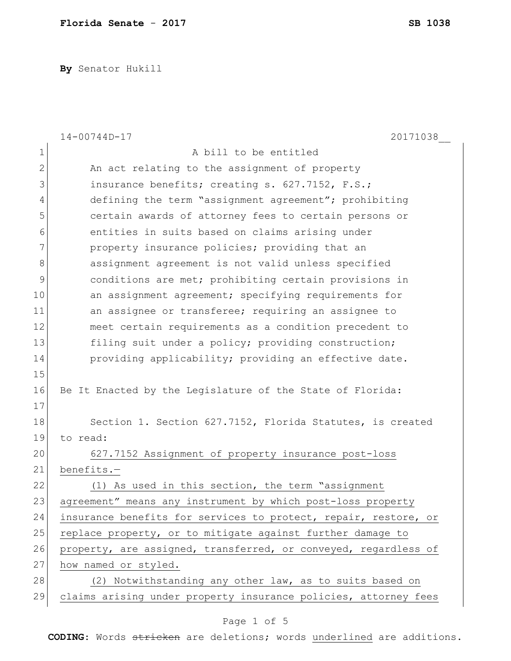**By** Senator Hukill

|              | 20171038<br>$14 - 00744D - 17$                                  |
|--------------|-----------------------------------------------------------------|
| 1            | A bill to be entitled                                           |
| $\mathbf{2}$ | An act relating to the assignment of property                   |
| 3            | insurance benefits; creating s. 627.7152, F.S.;                 |
| 4            | defining the term "assignment agreement"; prohibiting           |
| 5            | certain awards of attorney fees to certain persons or           |
| 6            | entities in suits based on claims arising under                 |
| 7            | property insurance policies; providing that an                  |
| 8            | assignment agreement is not valid unless specified              |
| 9            | conditions are met; prohibiting certain provisions in           |
| 10           | an assignment agreement; specifying requirements for            |
| 11           | an assignee or transferee; requiring an assignee to             |
| 12           | meet certain requirements as a condition precedent to           |
| 13           | filing suit under a policy; providing construction;             |
| 14           | providing applicability; providing an effective date.           |
| 15           |                                                                 |
| 16           | Be It Enacted by the Legislature of the State of Florida:       |
| 17           |                                                                 |
| 18           | Section 1. Section 627.7152, Florida Statutes, is created       |
| 19           | to read:                                                        |
| 20           | 627.7152 Assignment of property insurance post-loss             |
| 21           | benefits.-                                                      |
| 22           | (1) As used in this section, the term "assignment               |
| 23           | agreement" means any instrument by which post-loss property     |
| 24           | insurance benefits for services to protect, repair, restore, or |
| 25           | replace property, or to mitigate against further damage to      |
| 26           | property, are assigned, transferred, or conveyed, regardless of |
| 27           | how named or styled.                                            |
| 28           | (2) Notwithstanding any other law, as to suits based on         |
| 29           | claims arising under property insurance policies, attorney fees |

## Page 1 of 5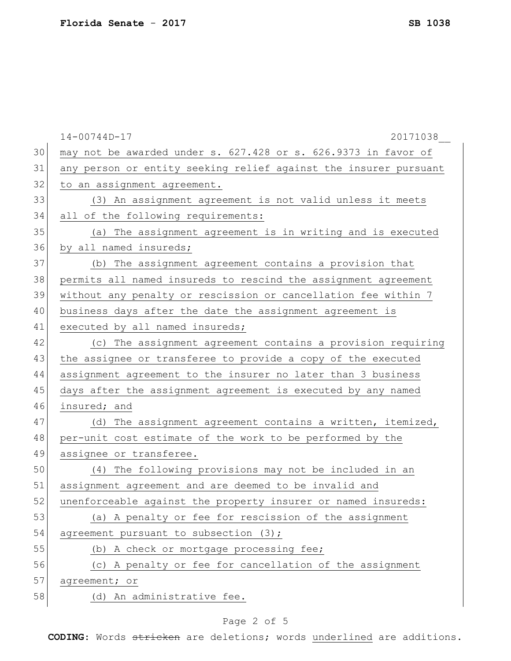|    | $14 - 00744D - 17$<br>20171038                                   |
|----|------------------------------------------------------------------|
| 30 | may not be awarded under s. 627.428 or s. 626.9373 in favor of   |
| 31 | any person or entity seeking relief against the insurer pursuant |
| 32 | to an assignment agreement.                                      |
| 33 | (3) An assignment agreement is not valid unless it meets         |
| 34 | all of the following requirements:                               |
| 35 | The assignment agreement is in writing and is executed<br>(a)    |
| 36 | by all named insureds;                                           |
| 37 | (b) The assignment agreement contains a provision that           |
| 38 | permits all named insureds to rescind the assignment agreement   |
| 39 | without any penalty or rescission or cancellation fee within 7   |
| 40 | business days after the date the assignment agreement is         |
| 41 | executed by all named insureds;                                  |
| 42 | (c) The assignment agreement contains a provision requiring      |
| 43 | the assignee or transferee to provide a copy of the executed     |
| 44 | assignment agreement to the insurer no later than 3 business     |
| 45 | days after the assignment agreement is executed by any named     |
| 46 | insured; and                                                     |
| 47 | (d) The assignment agreement contains a written, itemized,       |
| 48 | per-unit cost estimate of the work to be performed by the        |
| 49 | assignee or transferee.                                          |
| 50 | The following provisions may not be included in an<br>(4)        |
| 51 | assignment agreement and are deemed to be invalid and            |
| 52 | unenforceable against the property insurer or named insureds:    |
| 53 | (a) A penalty or fee for rescission of the assignment            |
| 54 | agreement pursuant to subsection (3);                            |
| 55 | (b) A check or mortgage processing fee;                          |
| 56 | (c) A penalty or fee for cancellation of the assignment          |
| 57 | agreement; or                                                    |
| 58 | (d) An administrative fee.                                       |
|    |                                                                  |

## Page 2 of 5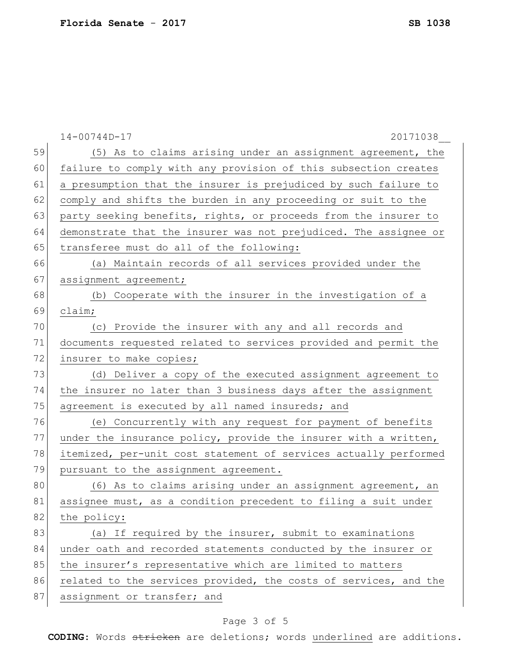|    | $14 - 00744D - 17$<br>20171038                                   |
|----|------------------------------------------------------------------|
| 59 | (5) As to claims arising under an assignment agreement, the      |
| 60 | failure to comply with any provision of this subsection creates  |
| 61 | a presumption that the insurer is prejudiced by such failure to  |
| 62 | comply and shifts the burden in any proceeding or suit to the    |
| 63 | party seeking benefits, rights, or proceeds from the insurer to  |
| 64 | demonstrate that the insurer was not prejudiced. The assignee or |
| 65 | transferee must do all of the following:                         |
| 66 | (a) Maintain records of all services provided under the          |
| 67 | assignment agreement;                                            |
| 68 | (b) Cooperate with the insurer in the investigation of a         |
| 69 | claim;                                                           |
| 70 | (c) Provide the insurer with any and all records and             |
| 71 | documents requested related to services provided and permit the  |
| 72 | insurer to make copies;                                          |
| 73 | (d) Deliver a copy of the executed assignment agreement to       |
| 74 | the insurer no later than 3 business days after the assignment   |
| 75 | agreement is executed by all named insureds; and                 |
| 76 | (e) Concurrently with any request for payment of benefits        |
| 77 | under the insurance policy, provide the insurer with a written,  |
| 78 | itemized, per-unit cost statement of services actually performed |
| 79 | pursuant to the assignment agreement.                            |
| 80 | As to claims arising under an assignment agreement, an<br>(6)    |
| 81 | assignee must, as a condition precedent to filing a suit under   |
| 82 | the policy:                                                      |
| 83 | (a) If required by the insurer, submit to examinations           |
| 84 | under oath and recorded statements conducted by the insurer or   |
| 85 | the insurer's representative which are limited to matters        |
| 86 | related to the services provided, the costs of services, and the |
| 87 | assignment or transfer; and                                      |

## Page 3 of 5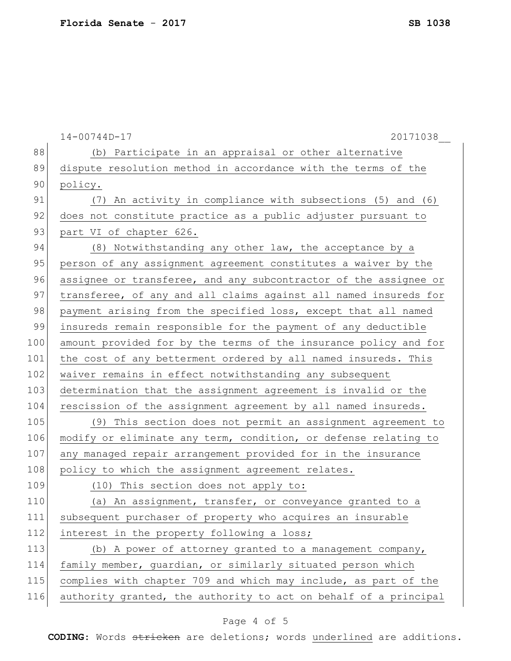|     | $14 - 00744D - 17$<br>20171038                                   |
|-----|------------------------------------------------------------------|
| 88  | (b) Participate in an appraisal or other alternative             |
| 89  | dispute resolution method in accordance with the terms of the    |
| 90  | policy.                                                          |
| 91  | An activity in compliance with subsections (5) and (6)<br>(7)    |
| 92  | does not constitute practice as a public adjuster pursuant to    |
| 93  | part VI of chapter 626.                                          |
| 94  | (8) Notwithstanding any other law, the acceptance by a           |
| 95  | person of any assignment agreement constitutes a waiver by the   |
| 96  | assignee or transferee, and any subcontractor of the assignee or |
| 97  | transferee, of any and all claims against all named insureds for |
| 98  | payment arising from the specified loss, except that all named   |
| 99  | insureds remain responsible for the payment of any deductible    |
| 100 | amount provided for by the terms of the insurance policy and for |
| 101 | the cost of any betterment ordered by all named insureds. This   |
| 102 | waiver remains in effect notwithstanding any subsequent          |
| 103 | determination that the assignment agreement is invalid or the    |
| 104 | rescission of the assignment agreement by all named insureds.    |
| 105 | (9) This section does not permit an assignment agreement to      |
| 106 | modify or eliminate any term, condition, or defense relating to  |
| 107 | any managed repair arrangement provided for in the insurance     |
| 108 | policy to which the assignment agreement relates.                |
| 109 | (10) This section does not apply to:                             |
| 110 | (a) An assignment, transfer, or conveyance granted to a          |
| 111 | subsequent purchaser of property who acquires an insurable       |
| 112 | interest in the property following a loss;                       |
| 113 | (b) A power of attorney granted to a management company,         |
| 114 | family member, guardian, or similarly situated person which      |
| 115 | complies with chapter 709 and which may include, as part of the  |
| 116 | authority granted, the authority to act on behalf of a principal |

## Page 4 of 5